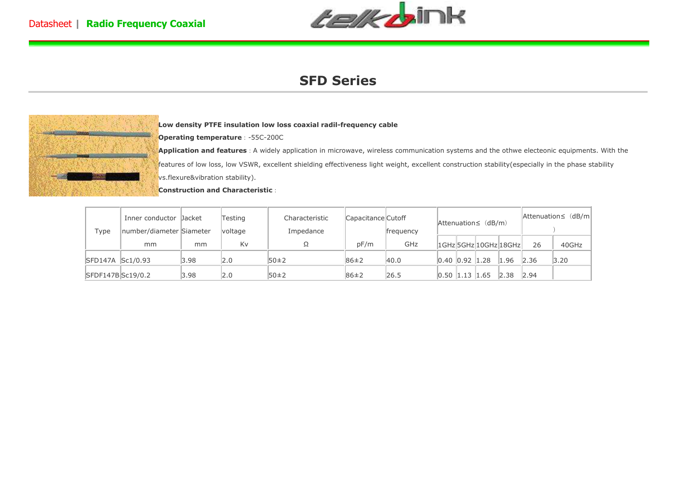

## **SFD Series**



**Low density PTFE insulation low loss coaxial radil-frequency cable** 

**Operating temperature**:-55C-200C

**Application and features**: A widely application in microwave, wireless communication systems and the othwe electeonic equipments. With the features of low loss, low VSWR, excellent shielding effectiveness light weight, excellent construction stability(especially in the phase stability vs.flexure&vibration stability).

**Construction and Characteristic**:

| Type             | Inner conductor Dacket<br>number/diameter Siameter |      | Testing<br>voltage | Characteristic<br>Impedance | Capacitance Cutoff<br>frequency |      | Attenuation≤ (dB/m) |  |  | $ $ Attenuation $\leq$ (dB/m)             |      |       |
|------------------|----------------------------------------------------|------|--------------------|-----------------------------|---------------------------------|------|---------------------|--|--|-------------------------------------------|------|-------|
|                  | mm                                                 | mm   | Kv                 |                             | pF/m                            | GHz  |                     |  |  | $ 1$ GHz $ 5$ GHz $ 10$ GHz $ 18$ GHz $ $ | 26   | 40GHz |
| SFD147A Sc1/0.93 |                                                    | 3.98 | 2.0                | 50±2                        | $86 \pm 2$                      | 40.0 | 0.40 0.92 1.28      |  |  | 1.96                                      | 2.36 | 3.20  |
| SFDF147BSc19/0.2 |                                                    | 3.98 | 2.0                | 50±2                        | 86±2                            | 26.5 | $0.50$ 1.13 1.65    |  |  | 2.38                                      | 2.94 |       |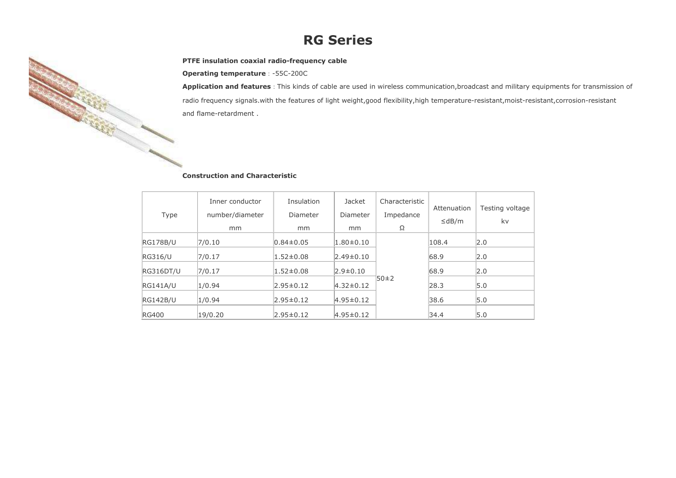## **RG Series**

## **PTFE insulation coaxial radio-frequency cable**

**Operating temperature**:-55C-200C

**RANDA** 

**Application and features**:This kinds of cable are used in wireless communication,broadcast and military equipments for transmission of radio frequency signals.with the features of light weight,good flexibility,high temperature-resistant,moist-resistant,corrosion-resistant and flame-retardment .

### **Construction and Characteristic**

|                 | Inner conductor | Insulation      | <b>Jacket</b>   | Characteristic | Attenuation | Testing voltage |
|-----------------|-----------------|-----------------|-----------------|----------------|-------------|-----------------|
| Type            | number/diameter | Diameter        | Diameter        | Impedance      |             |                 |
|                 | mm              | mm              | mm              | Ω              | $\leq$ dB/m | kv              |
| <b>RG178B/U</b> | 7/0.10          | $0.84 \pm 0.05$ | $1.80 \pm 0.10$ |                | 108.4       | 2.0             |
| <b>RG316/U</b>  | 7/0.17          | $1.52 \pm 0.08$ | $2.49 \pm 0.10$ |                | 68.9        | 2.0             |
| RG316DT/U       | 7/0.17          | $1.52 \pm 0.08$ | $2.9 \pm 0.10$  |                | 68.9        | 2.0             |
| <b>RG141A/U</b> | 1/0.94          | $2.95 \pm 0.12$ | $4.32 \pm 0.12$ | 50±2           | 28.3        | 5.0             |
| <b>RG142B/U</b> | 1/0.94          | $2.95 \pm 0.12$ | $4.95 \pm 0.12$ |                | 38.6        | 5.0             |
| <b>RG400</b>    | 19/0.20         | $2.95 \pm 0.12$ | $4.95 \pm 0.12$ |                | 34.4        | 5.0             |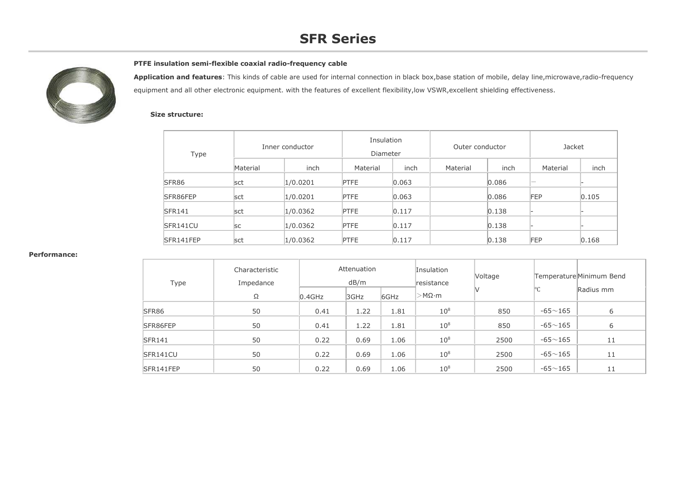# **SFR Series**



## **PTFE insulation semi-flexible coaxial radio-frequency cable**

**Application and features**: This kinds of cable are used for internal connection in black box,base station of mobile, delay line,microwave,radio-frequency equipment and all other electronic equipment. with the features of excellent flexibility, low VSWR, excellent shielding effectiveness.

#### **Size structure:**

| Type          | Inner conductor |          | Insulation<br>Diameter |       | Outer conductor |       | Jacket                   |       |
|---------------|-----------------|----------|------------------------|-------|-----------------|-------|--------------------------|-------|
|               | Material        | inch     | Material               | inch  | Material        | inch  | Material                 | inch  |
| SFR86         | sct             | 1/0.0201 | <b>PTFE</b>            | 0.063 |                 | 0.086 | $\overline{\phantom{m}}$ |       |
| SFR86FEP      | sct             | 1/0.0201 | <b>PTFE</b>            | 0.063 |                 | 0.086 | FEP                      | 0.105 |
| <b>SFR141</b> | sct             | 1/0.0362 | <b>PTFE</b>            | 0.117 |                 | 0.138 |                          |       |
| SFR141CU      | <b>SC</b>       | 1/0.0362 | <b>PTFE</b>            | 0.117 |                 | 0.138 |                          |       |
| SFR141FEP     | sct             | 1/0.0362 | <b>PTFE</b>            | 0.117 |                 | 0.138 | FEP                      | 0.168 |

#### **Performance:**

| Type          | Characteristic<br>Impedance<br>Ω | $0.4$ GHz | Attenuation<br>dB/m<br>3GHz | 6GHz | Insulation<br>resistance<br>$>$ M $\Omega$ ·m | <b>Voltage</b> | $\circ$ C   | Temperature Minimum Bend<br>Radius mm |
|---------------|----------------------------------|-----------|-----------------------------|------|-----------------------------------------------|----------------|-------------|---------------------------------------|
| SFR86         | 50                               | 0.41      | 1.22                        | 1.81 | $10^8$                                        | 850            | $-65 - 165$ | 6                                     |
| SFR86FEP      | 50                               | 0.41      | 1.22                        | 1.81 | $10^8$                                        | 850            | $-65 - 165$ | 6                                     |
| <b>SFR141</b> | 50                               | 0.22      | 0.69                        | 1.06 | $10^8$                                        | 2500           | $-65 - 165$ | 11                                    |
| SFR141CU      | 50                               | 0.22      | 0.69                        | 1.06 | $10^8$                                        | 2500           | $-65 - 165$ | 11                                    |
| SFR141FEP     | 50                               | 0.22      | 0.69                        | 1.06 | $10^8$                                        | 2500           | $-65 - 165$ | 11                                    |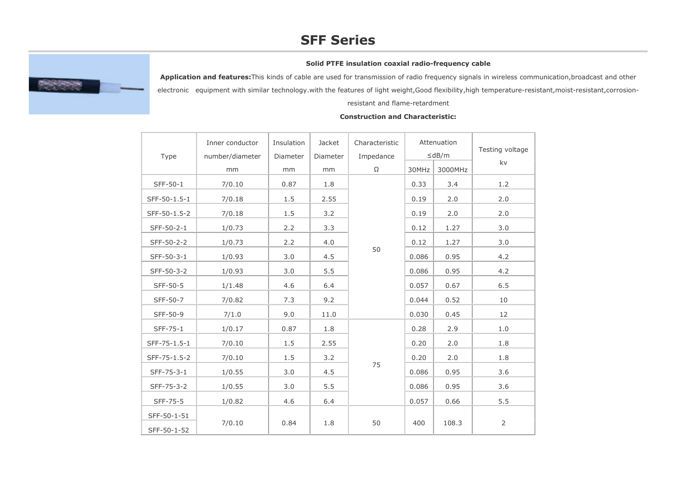# **SFF Series**

## **Solid PTFE insulation coaxial radio-frequency cable**



**Application and features:**This kinds of cable are used for transmission of radio frequency signals in wireless communication,broadcast and other

electronic equipment with similar technology.with the features of light weight,Good flexibility,high temperature-resistant,moist-resistant,corrosion-

resistant and flame-retardment

#### Type Inner conductor number/diametermm InsulationDiametermm Jacket Diametermm Characteristic Impedance Ω Attenuation ≤dB/m Testing voltage kv 30MHz 3000MHz SFF-50-1 | 7/0.10 | 0.87 | 1.8 50  $0.33$  3.4 1.2 SFF-50-1.5-1 7/0.18 1.5 2.55 0.19 2.0 2.0 SFF-50-1.5-2 7/0.18 1.5 3.2 0.19 2.0 2.0 SFF-50-2-1 1/0.73 2.2 3.3 0.12 1.27 3.0 SFF-50-2-2 1 1/0.73 2.2 4.0 0.12 0.12 1.27 3.0 SFF-50-3-1 1/0.93 3.0 4.5 0.086 0.95 4.2 SFF-50-3-2 1/0.93 3.0 5.5 0.086 0.95 4.2 SFF-50-5 | 1/1.48 | 4.6 | 6.4 | | 0.057 | 0.67 | 6.5 SFF-50-7 7/0.82 7.3 9.2 0.044 0.52 10 SFF-50-9 7/1.0 9.0 11.0 0.030 0.45 12 SFF-75-1 | 1/0.17 | 0.87 | 1.8 75  $0.28$  2.9 1.0 SFF-75-1.5-1 7/0.10 1.5 2.55 0.20 2.0 1.8 SFF-75-1.5-2 7/0.10 1.5 3.2 0.20 0.20 2.0 1.8 SFF-75-3-1 1/0.55 3.0 4.5 0.086 0.95 3.6 SFF-75-3-2 1/0.55 3.0 5.5 0.086 0.95 3.6 SFF-75-5 | 1/0.82 | 4.6 | 6.4 | | 0.057 || 0.66 | 5.5 SFF-50-1-51 7/0.10 0.84 1.8 50 400 108.3 2 SFF-50-1-52

### **Construction and Characteristic:**